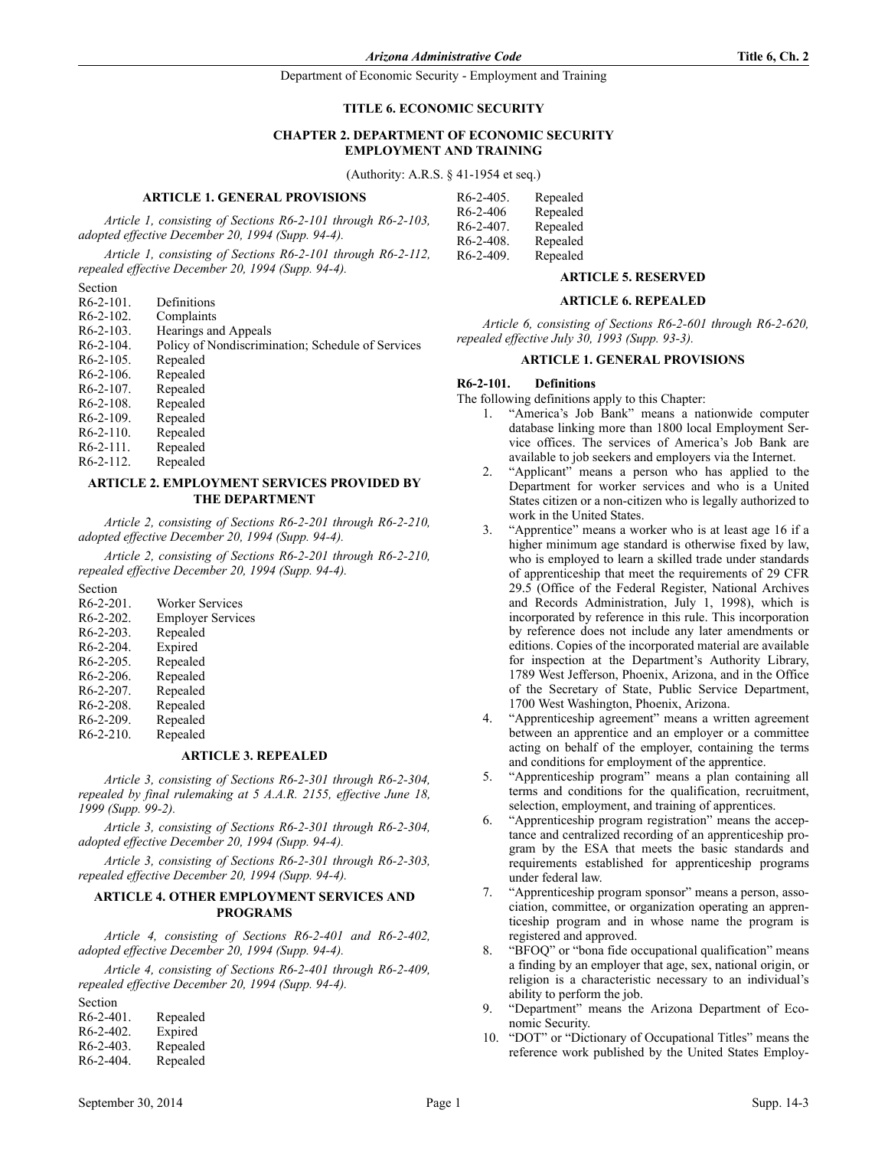#### **TITLE 6. ECONOMIC SECURITY**

### **CHAPTER 2. DEPARTMENT OF ECONOMIC SECURITY EMPLOYMENT AND TRAINING**

(Authority: A.R.S. § 41-1954 et seq.)

#### **ARTICLE 1. GENERAL PROVISIONS**

*Article 1, consisting of Sections R6-2-101 through R6-2-103, adopted effective December 20, 1994 (Supp. 94-4).*

*Article 1, consisting of Sections R6-2-101 through R6-2-112, repealed effective December 20, 1994 (Supp. 94-4).*

Section

| R6-2-101. | Definitions                                       |
|-----------|---------------------------------------------------|
| R6-2-102. | Complaints                                        |
| R6-2-103. | Hearings and Appeals                              |
| R6-2-104. | Policy of Nondiscrimination; Schedule of Services |
| R6-2-105. | Repealed                                          |
| R6-2-106. | Repealed                                          |
| R6-2-107. | Repealed                                          |
| R6-2-108. | Repealed                                          |
| R6-2-109. | Repealed                                          |
| R6-2-110. | Repealed                                          |
| R6-2-111. | Repealed                                          |
| R6-2-112. | Repealed                                          |
|           |                                                   |

### **ARTICLE 2. EMPLOYMENT SERVICES PROVIDED BY THE DEPARTMENT**

*Article 2, consisting of Sections R6-2-201 through R6-2-210, adopted effective December 20, 1994 (Supp. 94-4).*

*Article 2, consisting of Sections R6-2-201 through R6-2-210, repealed effective December 20, 1994 (Supp. 94-4).*

Section

| R <sub>6</sub> -2-201 | Worker Services          |
|-----------------------|--------------------------|
| $R6-2-202$            | <b>Employer Services</b> |
| $R6-2-203$            | Repealed                 |
| $R6-2-204$            | Expired                  |
| $R6-2-205$            | Repealed                 |
| $R6-2-206$            | Repealed                 |
| $R6-2-207$ .          | Repealed                 |
| $R6-2-208$ .          | Repealed                 |
| $R6-2-209$ .          | Repealed                 |
| $R6-2-210$ .          | Repealed                 |
|                       |                          |

# **ARTICLE 3. REPEALED**

*Article 3, consisting of Sections R6-2-301 through R6-2-304, repealed by final rulemaking at 5 A.A.R. 2155, effective June 18, 1999 (Supp. 99-2).*

*Article 3, consisting of Sections R6-2-301 through R6-2-304, adopted effective December 20, 1994 (Supp. 94-4).*

*Article 3, consisting of Sections R6-2-301 through R6-2-303, repealed effective December 20, 1994 (Supp. 94-4).*

### **ARTICLE 4. OTHER EMPLOYMENT SERVICES AND PROGRAMS**

*Article 4, consisting of Sections R6-2-401 and R6-2-402, adopted effective December 20, 1994 (Supp. 94-4).*

*Article 4, consisting of Sections R6-2-401 through R6-2-409, repealed effective December 20, 1994 (Supp. 94-4).*

| Repealed |
|----------|
| Expired  |
| Repealed |
| Repealed |
|          |

| $R6-2-405$ . | Repealed |
|--------------|----------|
| $R6-2-406$   | Repealed |
| $R6-2-407$ . | Repealed |
| $R6-2-408$ . | Repealed |
| $R6-2-409$ . | Repealed |

### **ARTICLE 5. RESERVED**

#### **ARTICLE 6. REPEALED**

*Article 6, consisting of Sections R6-2-601 through R6-2-620, repealed effective July 30, 1993 (Supp. 93-3).*

### **ARTICLE 1. GENERAL PROVISIONS**

# **R6-2-101. Definitions**

The following definitions apply to this Chapter:

- 1. "America's Job Bank" means a nationwide computer database linking more than 1800 local Employment Service offices. The services of America's Job Bank are available to job seekers and employers via the Internet.
- 2. "Applicant" means a person who has applied to the Department for worker services and who is a United States citizen or a non-citizen who is legally authorized to work in the United States.
- 3. "Apprentice" means a worker who is at least age 16 if a higher minimum age standard is otherwise fixed by law, who is employed to learn a skilled trade under standards of apprenticeship that meet the requirements of 29 CFR 29.5 (Office of the Federal Register, National Archives and Records Administration, July 1, 1998), which is incorporated by reference in this rule. This incorporation by reference does not include any later amendments or editions. Copies of the incorporated material are available for inspection at the Department's Authority Library, 1789 West Jefferson, Phoenix, Arizona, and in the Office of the Secretary of State, Public Service Department, 1700 West Washington, Phoenix, Arizona.
- 4. "Apprenticeship agreement" means a written agreement between an apprentice and an employer or a committee acting on behalf of the employer, containing the terms and conditions for employment of the apprentice.
- 5. "Apprenticeship program" means a plan containing all terms and conditions for the qualification, recruitment, selection, employment, and training of apprentices.
- 6. "Apprenticeship program registration" means the acceptance and centralized recording of an apprenticeship program by the ESA that meets the basic standards and requirements established for apprenticeship programs under federal law.
- 7. "Apprenticeship program sponsor" means a person, association, committee, or organization operating an apprenticeship program and in whose name the program is registered and approved.
- 8. "BFOQ" or "bona fide occupational qualification" means a finding by an employer that age, sex, national origin, or religion is a characteristic necessary to an individual's ability to perform the job.
- 9. "Department" means the Arizona Department of Economic Security.
- 10. "DOT" or "Dictionary of Occupational Titles" means the reference work published by the United States Employ-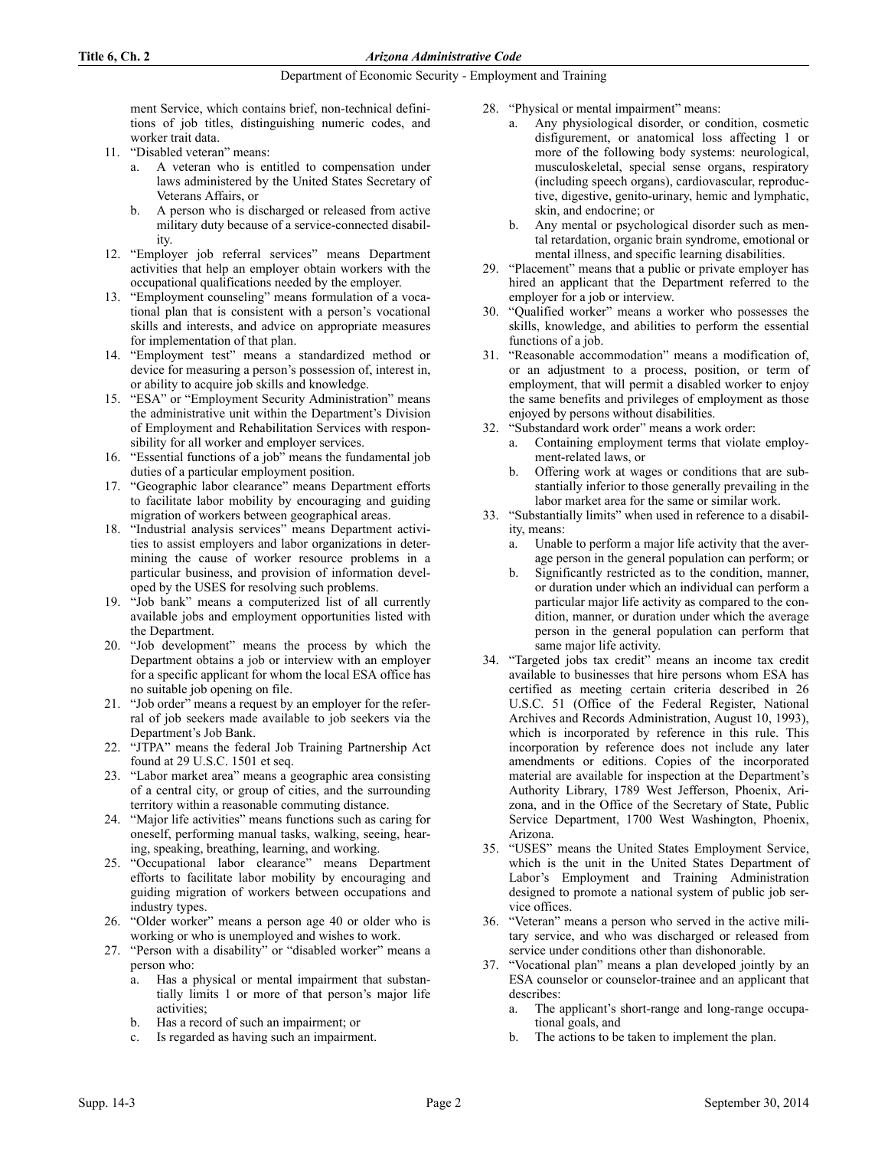ment Service, which contains brief, non-technical definitions of job titles, distinguishing numeric codes, and worker trait data.

- 11. "Disabled veteran" means:
	- a. A veteran who is entitled to compensation under laws administered by the United States Secretary of Veterans Affairs, or
	- b. A person who is discharged or released from active military duty because of a service-connected disability.
- 12. "Employer job referral services" means Department activities that help an employer obtain workers with the occupational qualifications needed by the employer.
- 13. "Employment counseling" means formulation of a vocational plan that is consistent with a person's vocational skills and interests, and advice on appropriate measures for implementation of that plan.
- 14. "Employment test" means a standardized method or device for measuring a person's possession of, interest in, or ability to acquire job skills and knowledge.
- 15. "ESA" or "Employment Security Administration" means the administrative unit within the Department's Division of Employment and Rehabilitation Services with responsibility for all worker and employer services.
- 16. "Essential functions of a job" means the fundamental job duties of a particular employment position.
- 17. "Geographic labor clearance" means Department efforts to facilitate labor mobility by encouraging and guiding migration of workers between geographical areas.
- 18. "Industrial analysis services" means Department activities to assist employers and labor organizations in determining the cause of worker resource problems in a particular business, and provision of information developed by the USES for resolving such problems.
- 19. "Job bank" means a computerized list of all currently available jobs and employment opportunities listed with the Department.
- 20. "Job development" means the process by which the Department obtains a job or interview with an employer for a specific applicant for whom the local ESA office has no suitable job opening on file.
- 21. "Job order" means a request by an employer for the referral of job seekers made available to job seekers via the Department's Job Bank.
- 22. "JTPA" means the federal Job Training Partnership Act found at 29 U.S.C. 1501 et seq.
- 23. "Labor market area" means a geographic area consisting of a central city, or group of cities, and the surrounding territory within a reasonable commuting distance.
- 24. "Major life activities" means functions such as caring for oneself, performing manual tasks, walking, seeing, hearing, speaking, breathing, learning, and working.
- 25. "Occupational labor clearance" means Department efforts to facilitate labor mobility by encouraging and guiding migration of workers between occupations and industry types.
- 26. "Older worker" means a person age 40 or older who is working or who is unemployed and wishes to work.
- 27. "Person with a disability" or "disabled worker" means a person who:
	- a. Has a physical or mental impairment that substantially limits 1 or more of that person's major life activities;
	- b. Has a record of such an impairment; or
	- c. Is regarded as having such an impairment.
- 28. "Physical or mental impairment" means:
	- a. Any physiological disorder, or condition, cosmetic disfigurement, or anatomical loss affecting 1 or more of the following body systems: neurological, musculoskeletal, special sense organs, respiratory (including speech organs), cardiovascular, reproductive, digestive, genito-urinary, hemic and lymphatic, skin, and endocrine; or
	- b. Any mental or psychological disorder such as mental retardation, organic brain syndrome, emotional or mental illness, and specific learning disabilities.
- 29. "Placement" means that a public or private employer has hired an applicant that the Department referred to the employer for a job or interview.
- 30. "Qualified worker" means a worker who possesses the skills, knowledge, and abilities to perform the essential functions of a job.
- 31. "Reasonable accommodation" means a modification of, or an adjustment to a process, position, or term of employment, that will permit a disabled worker to enjoy the same benefits and privileges of employment as those enjoyed by persons without disabilities.
- 32. "Substandard work order" means a work order:
	- a. Containing employment terms that violate employment-related laws, or
	- b. Offering work at wages or conditions that are substantially inferior to those generally prevailing in the labor market area for the same or similar work.
- 33. "Substantially limits" when used in reference to a disability, means:
	- a. Unable to perform a major life activity that the average person in the general population can perform; or
	- Significantly restricted as to the condition, manner, or duration under which an individual can perform a particular major life activity as compared to the condition, manner, or duration under which the average person in the general population can perform that same major life activity.
- 34. "Targeted jobs tax credit" means an income tax credit available to businesses that hire persons whom ESA has certified as meeting certain criteria described in 26 U.S.C. 51 (Office of the Federal Register, National Archives and Records Administration, August 10, 1993), which is incorporated by reference in this rule. This incorporation by reference does not include any later amendments or editions. Copies of the incorporated material are available for inspection at the Department's Authority Library, 1789 West Jefferson, Phoenix, Arizona, and in the Office of the Secretary of State, Public Service Department, 1700 West Washington, Phoenix, Arizona.
- 35. "USES" means the United States Employment Service, which is the unit in the United States Department of Labor's Employment and Training Administration designed to promote a national system of public job service offices.
- 36. "Veteran" means a person who served in the active military service, and who was discharged or released from service under conditions other than dishonorable.
- 37. "Vocational plan" means a plan developed jointly by an ESA counselor or counselor-trainee and an applicant that describes:
	- a. The applicant's short-range and long-range occupational goals, and
	- The actions to be taken to implement the plan.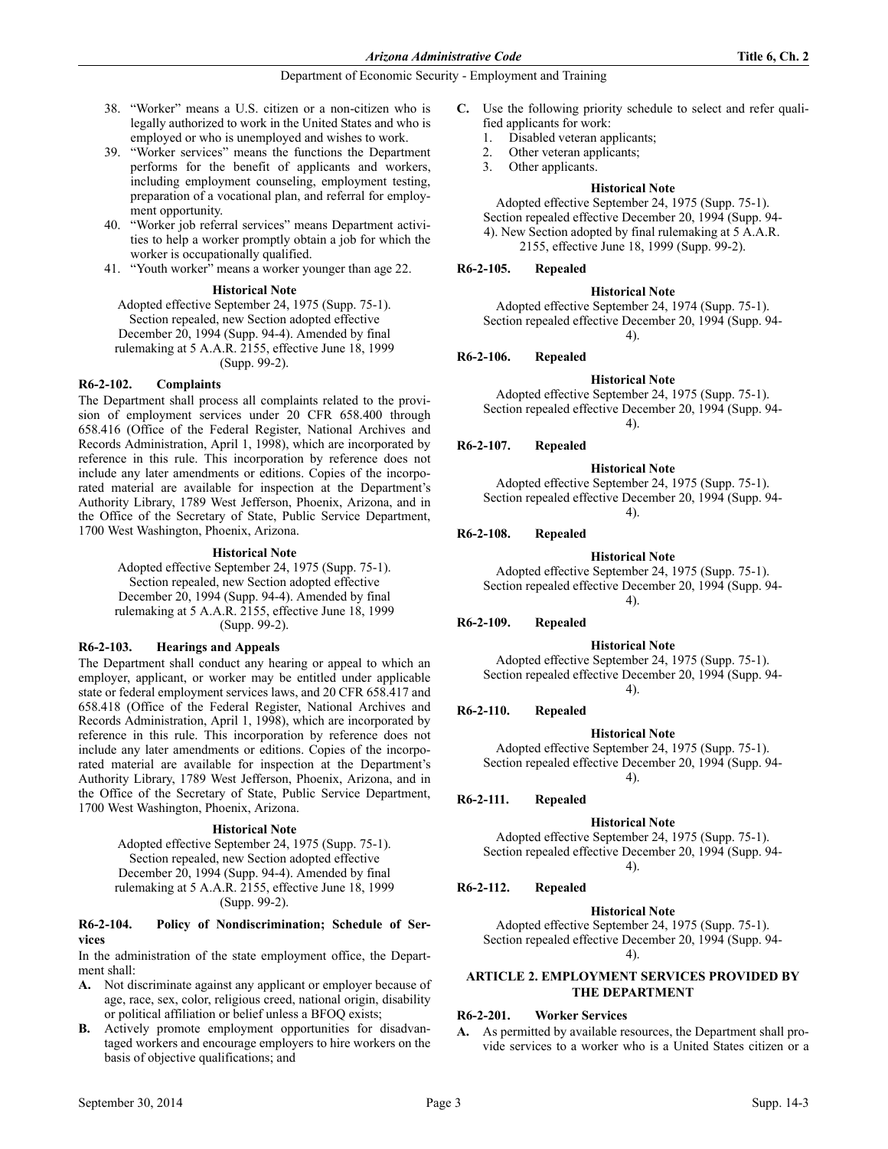- 38. "Worker" means a U.S. citizen or a non-citizen who is legally authorized to work in the United States and who is employed or who is unemployed and wishes to work.
- 39. "Worker services" means the functions the Department performs for the benefit of applicants and workers, including employment counseling, employment testing, preparation of a vocational plan, and referral for employment opportunity.
- 40. "Worker job referral services" means Department activities to help a worker promptly obtain a job for which the worker is occupationally qualified.
- 41. "Youth worker" means a worker younger than age 22.

#### **Historical Note**

Adopted effective September 24, 1975 (Supp. 75-1). Section repealed, new Section adopted effective December 20, 1994 (Supp. 94-4). Amended by final rulemaking at 5 A.A.R. 2155, effective June 18, 1999 (Supp. 99-2).

#### **R6-2-102. Complaints**

The Department shall process all complaints related to the provision of employment services under 20 CFR 658.400 through 658.416 (Office of the Federal Register, National Archives and Records Administration, April 1, 1998), which are incorporated by reference in this rule. This incorporation by reference does not include any later amendments or editions. Copies of the incorporated material are available for inspection at the Department's Authority Library, 1789 West Jefferson, Phoenix, Arizona, and in the Office of the Secretary of State, Public Service Department, 1700 West Washington, Phoenix, Arizona.

#### **Historical Note**

Adopted effective September 24, 1975 (Supp. 75-1). Section repealed, new Section adopted effective December 20, 1994 (Supp. 94-4). Amended by final rulemaking at 5 A.A.R. 2155, effective June 18, 1999 (Supp. 99-2).

#### **R6-2-103. Hearings and Appeals**

The Department shall conduct any hearing or appeal to which an employer, applicant, or worker may be entitled under applicable state or federal employment services laws, and 20 CFR 658.417 and 658.418 (Office of the Federal Register, National Archives and Records Administration, April 1, 1998), which are incorporated by reference in this rule. This incorporation by reference does not include any later amendments or editions. Copies of the incorporated material are available for inspection at the Department's Authority Library, 1789 West Jefferson, Phoenix, Arizona, and in the Office of the Secretary of State, Public Service Department, 1700 West Washington, Phoenix, Arizona.

#### **Historical Note**

Adopted effective September 24, 1975 (Supp. 75-1). Section repealed, new Section adopted effective December 20, 1994 (Supp. 94-4). Amended by final rulemaking at 5 A.A.R. 2155, effective June 18, 1999 (Supp. 99-2).

### **R6-2-104. Policy of Nondiscrimination; Schedule of Services**

In the administration of the state employment office, the Department shall:

- **A.** Not discriminate against any applicant or employer because of age, race, sex, color, religious creed, national origin, disability or political affiliation or belief unless a BFOQ exists;
- **B.** Actively promote employment opportunities for disadvantaged workers and encourage employers to hire workers on the basis of objective qualifications; and
- **C.** Use the following priority schedule to select and refer qualified applicants for work:
	- 1. Disabled veteran applicants;
	- 2. Other veteran applicants;
	- 3. Other applicants.

### **Historical Note**

Adopted effective September 24, 1975 (Supp. 75-1). Section repealed effective December 20, 1994 (Supp. 94- 4). New Section adopted by final rulemaking at 5 A.A.R. 2155, effective June 18, 1999 (Supp. 99-2).

### **R6-2-105. Repealed**

#### **Historical Note**

Adopted effective September 24, 1974 (Supp. 75-1). Section repealed effective December 20, 1994 (Supp. 94- 4).

### **R6-2-106. Repealed**

#### **Historical Note**

Adopted effective September 24, 1975 (Supp. 75-1). Section repealed effective December 20, 1994 (Supp. 94- 4).

**R6-2-107. Repealed**

#### **Historical Note**

Adopted effective September 24, 1975 (Supp. 75-1). Section repealed effective December 20, 1994 (Supp. 94- 4).

**R6-2-108. Repealed**

#### **Historical Note**

Adopted effective September 24, 1975 (Supp. 75-1). Section repealed effective December 20, 1994 (Supp. 94- 4).

### **R6-2-109. Repealed**

**Historical Note**

Adopted effective September 24, 1975 (Supp. 75-1). Section repealed effective December 20, 1994 (Supp. 94- 4).

#### **R6-2-110. Repealed**

#### **Historical Note**

Adopted effective September 24, 1975 (Supp. 75-1). Section repealed effective December 20, 1994 (Supp. 94- 4).

**R6-2-111. Repealed**

### **Historical Note**

Adopted effective September 24, 1975 (Supp. 75-1). Section repealed effective December 20, 1994 (Supp. 94- 4).

**R6-2-112. Repealed**

### **Historical Note**

Adopted effective September 24, 1975 (Supp. 75-1). Section repealed effective December 20, 1994 (Supp. 94- 4).

**ARTICLE 2. EMPLOYMENT SERVICES PROVIDED BY** 

# **THE DEPARTMENT**

### **R6-2-201. Worker Services**

**A.** As permitted by available resources, the Department shall provide services to a worker who is a United States citizen or a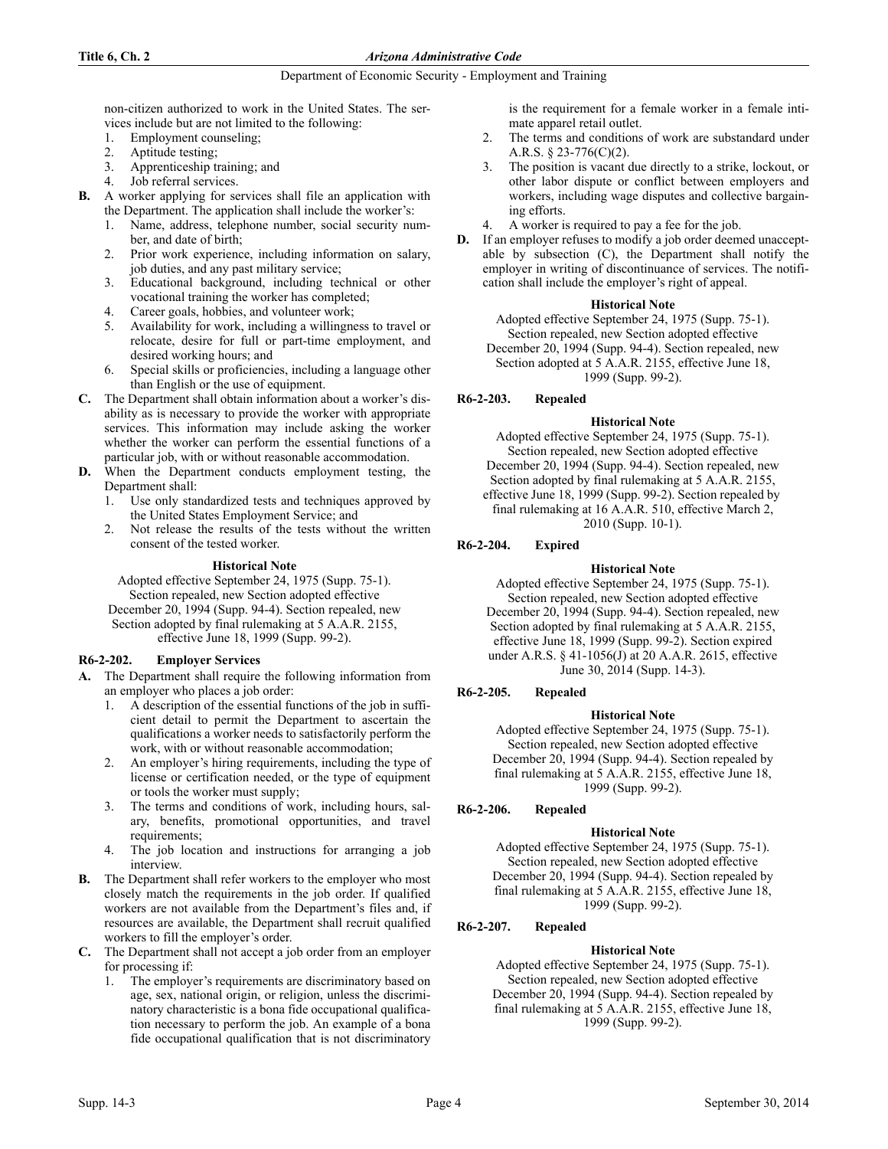non-citizen authorized to work in the United States. The services include but are not limited to the following:

- 1. Employment counseling;
- 2. Aptitude testing;
- 3. Apprenticeship training; and
- 4. Job referral services.

**B.** A worker applying for services shall file an application with the Department. The application shall include the worker's:

- Name, address, telephone number, social security number, and date of birth;
- 2. Prior work experience, including information on salary, job duties, and any past military service;
- 3. Educational background, including technical or other vocational training the worker has completed;
- Career goals, hobbies, and volunteer work;
- 5. Availability for work, including a willingness to travel or relocate, desire for full or part-time employment, and desired working hours; and
- 6. Special skills or proficiencies, including a language other than English or the use of equipment.
- **C.** The Department shall obtain information about a worker's disability as is necessary to provide the worker with appropriate services. This information may include asking the worker whether the worker can perform the essential functions of a particular job, with or without reasonable accommodation.
- **D.** When the Department conducts employment testing, the Department shall:
	- 1. Use only standardized tests and techniques approved by the United States Employment Service; and
	- 2. Not release the results of the tests without the written consent of the tested worker.

### **Historical Note**

Adopted effective September 24, 1975 (Supp. 75-1). Section repealed, new Section adopted effective December 20, 1994 (Supp. 94-4). Section repealed, new Section adopted by final rulemaking at 5 A.A.R. 2155, effective June 18, 1999 (Supp. 99-2).

### **R6-2-202. Employer Services**

- **A.** The Department shall require the following information from an employer who places a job order:
	- 1. A description of the essential functions of the job in sufficient detail to permit the Department to ascertain the qualifications a worker needs to satisfactorily perform the work, with or without reasonable accommodation;
	- 2. An employer's hiring requirements, including the type of license or certification needed, or the type of equipment or tools the worker must supply;
	- 3. The terms and conditions of work, including hours, salary, benefits, promotional opportunities, and travel requirements;
	- 4. The job location and instructions for arranging a job interview.
- **B.** The Department shall refer workers to the employer who most closely match the requirements in the job order. If qualified workers are not available from the Department's files and, if resources are available, the Department shall recruit qualified workers to fill the employer's order.
- **C.** The Department shall not accept a job order from an employer for processing if:
	- 1. The employer's requirements are discriminatory based on age, sex, national origin, or religion, unless the discriminatory characteristic is a bona fide occupational qualification necessary to perform the job. An example of a bona fide occupational qualification that is not discriminatory

is the requirement for a female worker in a female intimate apparel retail outlet.

- 2. The terms and conditions of work are substandard under A.R.S. § 23-776(C)(2).
- 3. The position is vacant due directly to a strike, lockout, or other labor dispute or conflict between employers and workers, including wage disputes and collective bargaining efforts.
- 4. A worker is required to pay a fee for the job.
- **D.** If an employer refuses to modify a job order deemed unacceptable by subsection (C), the Department shall notify the employer in writing of discontinuance of services. The notification shall include the employer's right of appeal.

### **Historical Note**

Adopted effective September 24, 1975 (Supp. 75-1). Section repealed, new Section adopted effective December 20, 1994 (Supp. 94-4). Section repealed, new Section adopted at 5 A.A.R. 2155, effective June 18, 1999 (Supp. 99-2).

# **R6-2-203. Repealed**

### **Historical Note**

Adopted effective September 24, 1975 (Supp. 75-1). Section repealed, new Section adopted effective December 20, 1994 (Supp. 94-4). Section repealed, new Section adopted by final rulemaking at 5 A.A.R. 2155, effective June 18, 1999 (Supp. 99-2). Section repealed by final rulemaking at 16 A.A.R. 510, effective March 2, 2010 (Supp. 10-1).

# **R6-2-204. Expired**

# **Historical Note**

Adopted effective September 24, 1975 (Supp. 75-1). Section repealed, new Section adopted effective December 20, 1994 (Supp. 94-4). Section repealed, new Section adopted by final rulemaking at 5 A.A.R. 2155, effective June 18, 1999 (Supp. 99-2). Section expired under A.R.S. § 41-1056(J) at 20 A.A.R. 2615, effective June 30, 2014 (Supp. 14-3).

# **R6-2-205. Repealed**

### **Historical Note**

Adopted effective September 24, 1975 (Supp. 75-1). Section repealed, new Section adopted effective December 20, 1994 (Supp. 94-4). Section repealed by final rulemaking at 5 A.A.R. 2155, effective June 18, 1999 (Supp. 99-2).

# **R6-2-206. Repealed**

# **Historical Note**

Adopted effective September 24, 1975 (Supp. 75-1). Section repealed, new Section adopted effective December 20, 1994 (Supp. 94-4). Section repealed by final rulemaking at 5 A.A.R. 2155, effective June 18, 1999 (Supp. 99-2).

# **R6-2-207. Repealed**

# **Historical Note**

Adopted effective September 24, 1975 (Supp. 75-1). Section repealed, new Section adopted effective December 20, 1994 (Supp. 94-4). Section repealed by final rulemaking at 5 A.A.R. 2155, effective June 18, 1999 (Supp. 99-2).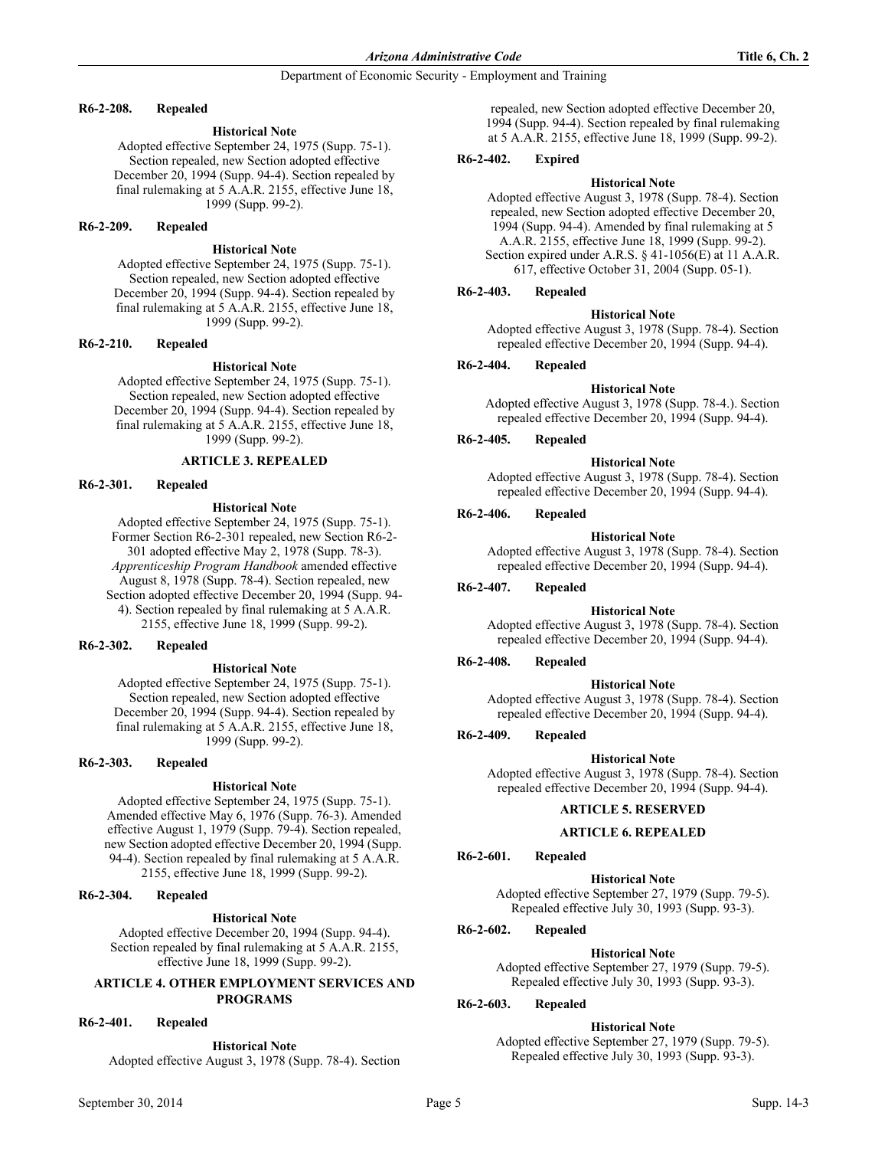#### **R6-2-208. Repealed**

### **Historical Note**

Adopted effective September 24, 1975 (Supp. 75-1). Section repealed, new Section adopted effective December 20, 1994 (Supp. 94-4). Section repealed by final rulemaking at 5 A.A.R. 2155, effective June 18, 1999 (Supp. 99-2).

### **R6-2-209. Repealed**

#### **Historical Note**

Adopted effective September 24, 1975 (Supp. 75-1). Section repealed, new Section adopted effective December 20, 1994 (Supp. 94-4). Section repealed by final rulemaking at 5 A.A.R. 2155, effective June 18, 1999 (Supp. 99-2).

#### **R6-2-210. Repealed**

### **Historical Note**

Adopted effective September 24, 1975 (Supp. 75-1). Section repealed, new Section adopted effective December 20, 1994 (Supp. 94-4). Section repealed by final rulemaking at 5 A.A.R. 2155, effective June 18, 1999 (Supp. 99-2).

### **ARTICLE 3. REPEALED**

### **R6-2-301. Repealed**

#### **Historical Note**

Adopted effective September 24, 1975 (Supp. 75-1). Former Section R6-2-301 repealed, new Section R6-2- 301 adopted effective May 2, 1978 (Supp. 78-3). *Apprenticeship Program Handbook* amended effective August 8, 1978 (Supp. 78-4). Section repealed, new Section adopted effective December 20, 1994 (Supp. 94- 4). Section repealed by final rulemaking at 5 A.A.R. 2155, effective June 18, 1999 (Supp. 99-2).

### **R6-2-302. Repealed**

#### **Historical Note**

Adopted effective September 24, 1975 (Supp. 75-1). Section repealed, new Section adopted effective December 20, 1994 (Supp. 94-4). Section repealed by final rulemaking at 5 A.A.R. 2155, effective June 18, 1999 (Supp. 99-2).

### **R6-2-303. Repealed**

#### **Historical Note**

Adopted effective September 24, 1975 (Supp. 75-1). Amended effective May 6, 1976 (Supp. 76-3). Amended effective August 1, 1979 (Supp. 79-4). Section repealed, new Section adopted effective December 20, 1994 (Supp. 94-4). Section repealed by final rulemaking at 5 A.A.R. 2155, effective June 18, 1999 (Supp. 99-2).

#### **R6-2-304. Repealed**

### **Historical Note**

Adopted effective December 20, 1994 (Supp. 94-4). Section repealed by final rulemaking at 5 A.A.R. 2155, effective June 18, 1999 (Supp. 99-2).

### **ARTICLE 4. OTHER EMPLOYMENT SERVICES AND PROGRAMS**

# **R6-2-401. Repealed**

#### **Historical Note**

Adopted effective August 3, 1978 (Supp. 78-4). Section

repealed, new Section adopted effective December 20, 1994 (Supp. 94-4). Section repealed by final rulemaking at 5 A.A.R. 2155, effective June 18, 1999 (Supp. 99-2).

### **R6-2-402. Expired**

### **Historical Note**

Adopted effective August 3, 1978 (Supp. 78-4). Section repealed, new Section adopted effective December 20, 1994 (Supp. 94-4). Amended by final rulemaking at 5 A.A.R. 2155, effective June 18, 1999 (Supp. 99-2). Section expired under A.R.S. § 41-1056(E) at 11 A.A.R. 617, effective October 31, 2004 (Supp. 05-1).

### **R6-2-403. Repealed**

#### **Historical Note**

Adopted effective August 3, 1978 (Supp. 78-4). Section repealed effective December 20, 1994 (Supp. 94-4).

### **R6-2-404. Repealed**

### **Historical Note**

Adopted effective August 3, 1978 (Supp. 78-4.). Section repealed effective December 20, 1994 (Supp. 94-4).

### **R6-2-405. Repealed**

### **Historical Note**

Adopted effective August 3, 1978 (Supp. 78-4). Section repealed effective December 20, 1994 (Supp. 94-4).

#### **R6-2-406. Repealed**

### **Historical Note**

Adopted effective August 3, 1978 (Supp. 78-4). Section repealed effective December 20, 1994 (Supp. 94-4).

**R6-2-407. Repealed**

#### **Historical Note**

Adopted effective August 3, 1978 (Supp. 78-4). Section repealed effective December 20, 1994 (Supp. 94-4).

### **R6-2-408. Repealed**

#### **Historical Note**

Adopted effective August 3, 1978 (Supp. 78-4). Section repealed effective December 20, 1994 (Supp. 94-4).

### **R6-2-409. Repealed**

#### **Historical Note**

Adopted effective August 3, 1978 (Supp. 78-4). Section repealed effective December 20, 1994 (Supp. 94-4).

### **ARTICLE 5. RESERVED**

#### **ARTICLE 6. REPEALED**

### **R6-2-601. Repealed**

#### **Historical Note**

Adopted effective September 27, 1979 (Supp. 79-5). Repealed effective July 30, 1993 (Supp. 93-3).

### **R6-2-602. Repealed**

### **Historical Note**

Adopted effective September 27, 1979 (Supp. 79-5). Repealed effective July 30, 1993 (Supp. 93-3).

# **R6-2-603. Repealed**

**Historical Note** Adopted effective September 27, 1979 (Supp. 79-5). Repealed effective July 30, 1993 (Supp. 93-3).